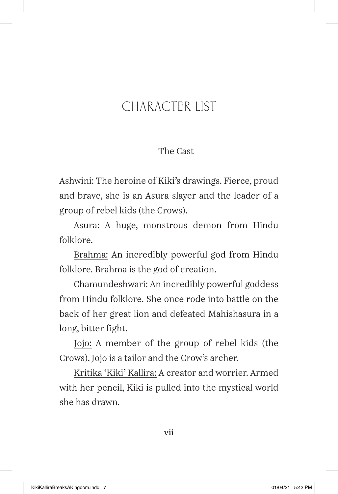## CHARACTER LIST

## The Cast

Ashwini: The heroine of Kiki's drawings. Fierce, proud and brave, she is an Asura slayer and the leader of a group of rebel kids (the Crows).

Asura: A huge, monstrous demon from Hindu folklore.

Brahma: An incredibly powerful god from Hindu folklore. Brahma is the god of creation.

Chamundeshwari: An incredibly powerful goddess from Hindu folklore. She once rode into battle on the back of her great lion and defeated Mahishasura in a long, bitter fight.

Jojo: A member of the group of rebel kids (the Crows). Jojo is a tailor and the Crow's archer.

Kritika 'Kiki' Kallira: A creator and worrier. Armed with her pencil, Kiki is pulled into the mystical world she has drawn.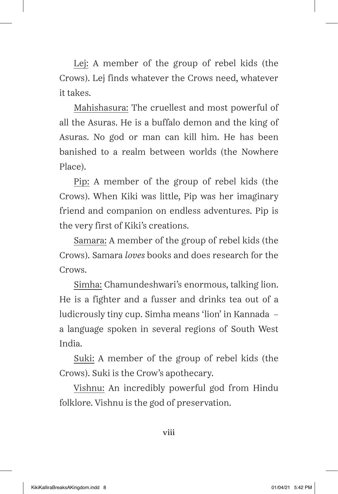Lej: A member of the group of rebel kids (the Crows). Lej finds whatever the Crows need, whatever it takes.

Mahishasura: The cruellest and most powerful of all the Asuras. He is a buffalo demon and the king of Asuras. No god or man can kill him. He has been banished to a realm between worlds (the Nowhere Place).

Pip: A member of the group of rebel kids (the Crows). When Kiki was little, Pip was her imaginary friend and companion on endless adventures. Pip is the very first of Kiki's creations.

Samara: A member of the group of rebel kids (the Crows). Samara *loves* books and does research for the Crows.

Simha: Chamundeshwari's enormous, talking lion. He is a fighter and a fusser and drinks tea out of a ludicrously tiny cup. Simha means 'lion' in Kannada – a language spoken in several regions of South West India.

Suki: A member of the group of rebel kids (the Crows). Suki is the Crow's apothecary.

Vishnu: An incredibly powerful god from Hindu folklore. Vishnu is the god of preservation.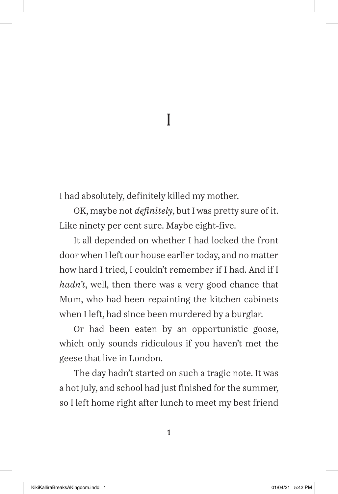1 I

I had absolutely, definitely killed my mother.

OK, maybe not *definitely*, but I was pretty sure of it. Like ninety per cent sure. Maybe eight-five.

It all depended on whether I had locked the front door when I left our house earlier today, and no matter how hard I tried, I couldn't remember if I had. And if I *hadn't*, well, then there was a very good chance that Mum, who had been repainting the kitchen cabinets when I left, had since been murdered by a burglar.

Or had been eaten by an opportunistic goose, which only sounds ridiculous if you haven't met the geese that live in London.

The day hadn't started on such a tragic note. It was a hot July, and school had just finished for the summer, so I left home right after lunch to meet my best friend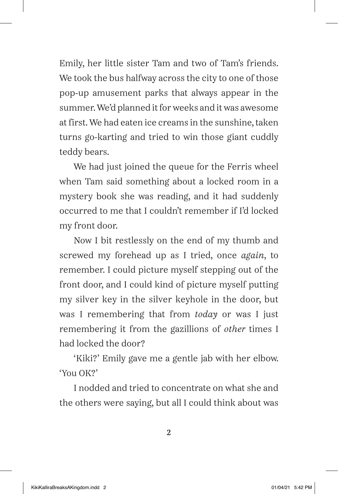Emily, her little sister Tam and two of Tam's friends. We took the bus halfway across the city to one of those pop-up amusement parks that always appear in the summer. We'd planned it for weeks and it was awesome at first. We had eaten ice creams in the sunshine, taken turns go-karting and tried to win those giant cuddly teddy bears.

We had just joined the queue for the Ferris wheel when Tam said something about a locked room in a mystery book she was reading, and it had suddenly occurred to me that I couldn't remember if I'd locked my front door.

Now I bit restlessly on the end of my thumb and screwed my forehead up as I tried, once *again*, to remember. I could picture myself stepping out of the front door, and I could kind of picture myself putting my silver key in the silver keyhole in the door, but was I remembering that from *today* or was I just remembering it from the gazillions of *other* times I had locked the door?

'Kiki?' Emily gave me a gentle jab with her elbow. 'You OK?'

I nodded and tried to concentrate on what she and the others were saying, but all I could think about was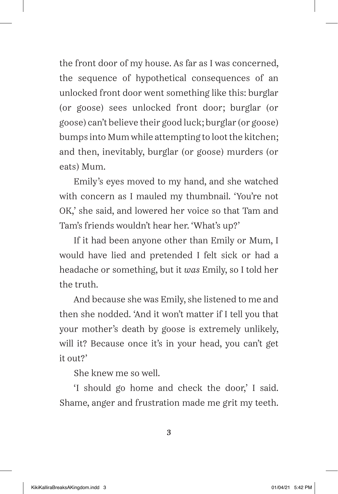the front door of my house. As far as I was concerned, the sequence of hypothetical consequences of an unlocked front door went something like this: burglar (or goose) sees unlocked front door; burglar (or goose) can't believe their good luck; burglar (or goose) bumps into Mum while attempting to loot the kitchen; and then, inevitably, burglar (or goose) murders (or eats) Mum.

Emily's eyes moved to my hand, and she watched with concern as I mauled my thumbnail. 'You're not OK,' she said, and lowered her voice so that Tam and Tam's friends wouldn't hear her. 'What's up?'

If it had been anyone other than Emily or Mum, I would have lied and pretended I felt sick or had a headache or something, but it *was* Emily, so I told her the truth.

And because she was Emily, she listened to me and then she nodded. 'And it won't matter if I tell you that your mother's death by goose is extremely unlikely, will it? Because once it's in your head, you can't get it out?'

She knew me so well.

'I should go home and check the door,' I said. Shame, anger and frustration made me grit my teeth.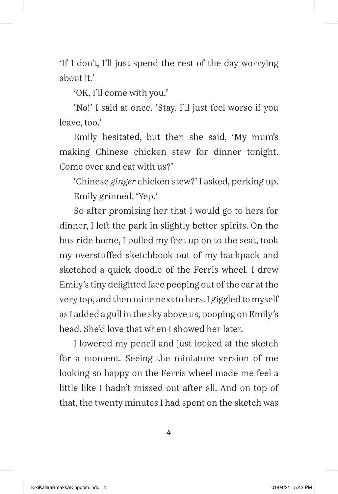'If I don't, I'll just spend the rest of the day worrying about it'

'OK, I'll come with you.'

'No!' I said at once. 'Stay. I'll just feel worse if you leave, too.'

Emily hesitated, but then she said, 'My mum's making Chinese chicken stew for dinner tonight. Come over and eat with us?'

'Chinese *ginger* chicken stew?' I asked, perking up. Emily grinned. 'Yep.'

So after promising her that I would go to hers for dinner, I left the park in slightly better spirits. On the bus ride home, I pulled my feet up on to the seat, took my overstuffed sketchbook out of my backpack and sketched a quick doodle of the Ferris wheel. I drew Emily's tiny delighted face peeping out of the car at the very top, and then mine next to hers. I giggled to myself as I added a gull in the sky above us, pooping on Emily's head. She'd love that when I showed her later.

I lowered my pencil and just looked at the sketch for a moment. Seeing the miniature version of me looking so happy on the Ferris wheel made me feel a little like I hadn't missed out after all. And on top of that, the twenty minutes I had spent on the sketch was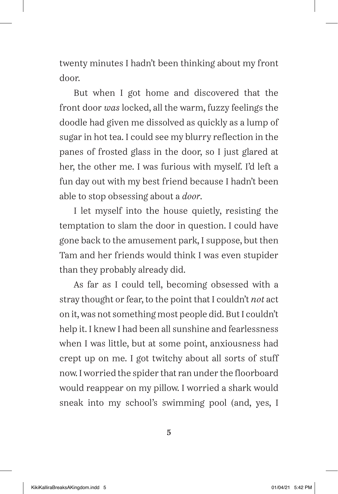twenty minutes I hadn't been thinking about my front door.

But when I got home and discovered that the front door *was* locked, all the warm, fuzzy feelings the doodle had given me dissolved as quickly as a lump of sugar in hot tea. I could see my blurry reflection in the panes of frosted glass in the door, so I just glared at her, the other me. I was furious with myself. I'd left a fun day out with my best friend because I hadn't been able to stop obsessing about a *door*.

I let myself into the house quietly, resisting the temptation to slam the door in question. I could have gone back to the amusement park, I suppose, but then Tam and her friends would think I was even stupider than they probably already did.

As far as I could tell, becoming obsessed with a stray thought or fear, to the point that I couldn't *not* act on it, was not something most people did. But I couldn't help it. I knew I had been all sunshine and fearlessness when I was little, but at some point, anxiousness had crept up on me. I got twitchy about all sorts of stuff now. I worried the spider that ran under the floorboard would reappear on my pillow. I worried a shark would sneak into my school's swimming pool (and, yes, I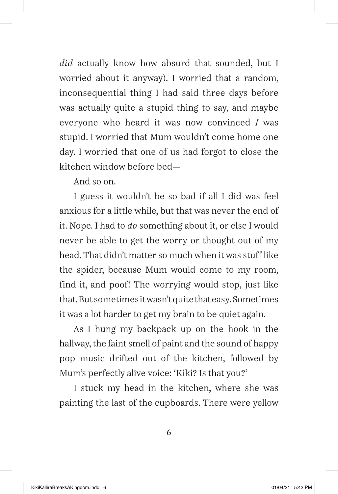*did* actually know how absurd that sounded, but I worried about it anyway). I worried that a random, inconsequential thing I had said three days before was actually quite a stupid thing to say, and maybe everyone who heard it was now convinced *I* was stupid. I worried that Mum wouldn't come home one day. I worried that one of us had forgot to close the kitchen window before bed—

And so on.

I guess it wouldn't be so bad if all I did was feel anxious for a little while, but that was never the end of it. Nope. I had to *do* something about it, or else I would never be able to get the worry or thought out of my head. That didn't matter so much when it was stuff like the spider, because Mum would come to my room, find it, and poof! The worrying would stop, just like that. But sometimes it wasn't quite that easy. Sometimes it was a lot harder to get my brain to be quiet again.

As I hung my backpack up on the hook in the hallway, the faint smell of paint and the sound of happy pop music drifted out of the kitchen, followed by Mum's perfectly alive voice: 'Kiki? Is that you?'

I stuck my head in the kitchen, where she was painting the last of the cupboards. There were yellow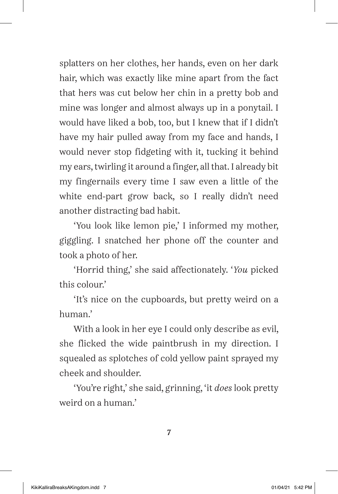splatters on her clothes, her hands, even on her dark hair, which was exactly like mine apart from the fact that hers was cut below her chin in a pretty bob and mine was longer and almost always up in a ponytail. I would have liked a bob, too, but I knew that if I didn't have my hair pulled away from my face and hands, I would never stop fidgeting with it, tucking it behind my ears, twirling it around a finger, all that. I already bit my fingernails every time I saw even a little of the white end-part grow back, so I really didn't need another distracting bad habit.

'You look like lemon pie,' I informed my mother, giggling. I snatched her phone off the counter and took a photo of her.

'Horrid thing,' she said affectionately. '*You* picked this colour.'

'It's nice on the cupboards, but pretty weird on a human.'

With a look in her eye I could only describe as evil, she flicked the wide paintbrush in my direction. I squealed as splotches of cold yellow paint sprayed my cheek and shoulder.

'You're right,' she said, grinning, 'it *does* look pretty weird on a human.'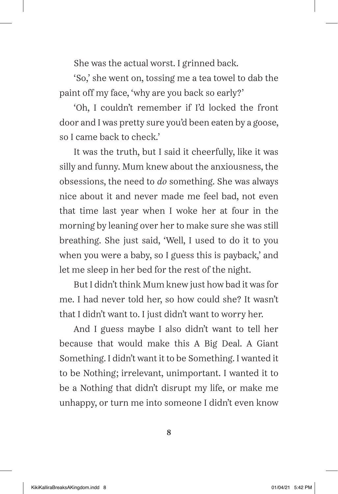She was the actual worst. I grinned back.

'So,' she went on, tossing me a tea towel to dab the paint off my face, 'why are you back so early?'

'Oh, I couldn't remember if I'd locked the front door and I was pretty sure you'd been eaten by a goose, so I came back to check.'

It was the truth, but I said it cheerfully, like it was silly and funny. Mum knew about the anxiousness, the obsessions, the need to *do* something. She was always nice about it and never made me feel bad, not even that time last year when I woke her at four in the morning by leaning over her to make sure she was still breathing. She just said, 'Well, I used to do it to you when you were a baby, so I guess this is payback,' and let me sleep in her bed for the rest of the night.

But I didn't think Mum knew just how bad it was for me. I had never told her, so how could she? It wasn't that I didn't want to. I just didn't want to worry her.

And I guess maybe I also didn't want to tell her because that would make this A Big Deal. A Giant Something. I didn't want it to be Something. I wanted it to be Nothing; irrelevant, unimportant. I wanted it to be a Nothing that didn't disrupt my life, or make me unhappy, or turn me into someone I didn't even know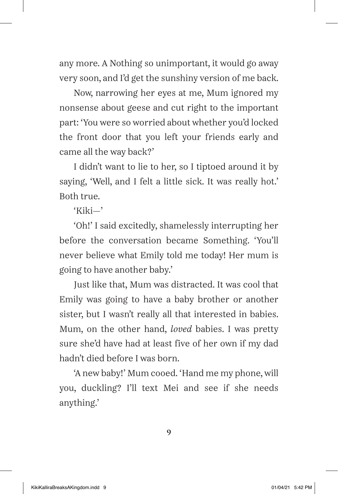any more. A Nothing so unimportant, it would go away very soon, and I'd get the sunshiny version of me back.

Now, narrowing her eyes at me, Mum ignored my nonsense about geese and cut right to the important part: 'You were so worried about whether you'd locked the front door that you left your friends early and came all the way back?'

I didn't want to lie to her, so I tiptoed around it by saying, 'Well, and I felt a little sick. It was really hot.' Both true.

'Kiki—'

'Oh!' I said excitedly, shamelessly interrupting her before the conversation became Something. 'You'll never believe what Emily told me today! Her mum is going to have another baby.'

Just like that, Mum was distracted. It was cool that Emily was going to have a baby brother or another sister, but I wasn't really all that interested in babies. Mum, on the other hand, *loved* babies. I was pretty sure she'd have had at least five of her own if my dad hadn't died before I was born.

'A new baby!' Mum cooed. 'Hand me my phone, will you, duckling? I'll text Mei and see if she needs anything.'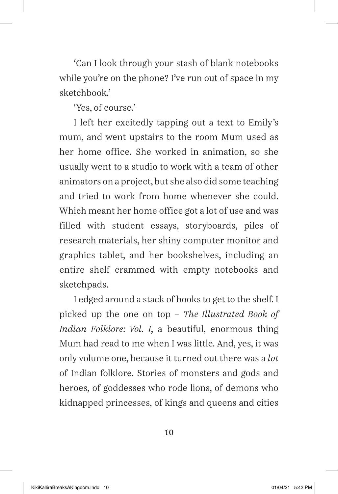'Can I look through your stash of blank notebooks while you're on the phone? I've run out of space in my sketchbook.'

'Yes, of course.'

I left her excitedly tapping out a text to Emily's mum, and went upstairs to the room Mum used as her home office. She worked in animation, so she usually went to a studio to work with a team of other animators on a project, but she also did some teaching and tried to work from home whenever she could. Which meant her home office got a lot of use and was filled with student essays, storyboards, piles of research materials, her shiny computer monitor and graphics tablet, and her bookshelves, including an entire shelf crammed with empty notebooks and sketchpads.

I edged around a stack of books to get to the shelf. I picked up the one on top – *The Illustrated Book of Indian Folklore: Vol. I*, a beautiful, enormous thing Mum had read to me when I was little. And, yes, it was only volume one, because it turned out there was a *lot* of Indian folklore. Stories of monsters and gods and heroes, of goddesses who rode lions, of demons who kidnapped princesses, of kings and queens and cities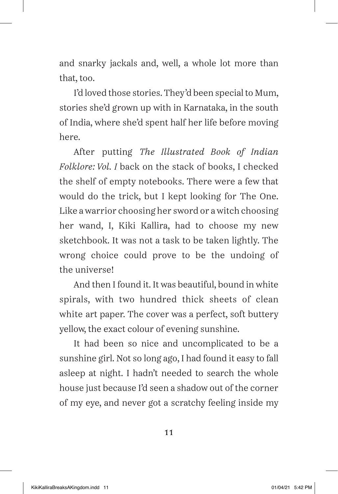and snarky jackals and, well, a whole lot more than that, too.

I'd loved those stories. They'd been special to Mum, stories she'd grown up with in Karnataka, in the south of India, where she'd spent half her life before moving here.

After putting *The Illustrated Book of Indian Folklore: Vol. I* back on the stack of books, I checked the shelf of empty notebooks. There were a few that would do the trick, but I kept looking for The One. Like a warrior choosing her sword or a witch choosing her wand, I, Kiki Kallira, had to choose my new sketchbook. It was not a task to be taken lightly. The wrong choice could prove to be the undoing of the universe!

And then I found it. It was beautiful, bound in white spirals, with two hundred thick sheets of clean white art paper. The cover was a perfect, soft buttery yellow, the exact colour of evening sunshine.

It had been so nice and uncomplicated to be a sunshine girl. Not so long ago, I had found it easy to fall asleep at night. I hadn't needed to search the whole house just because I'd seen a shadow out of the corner of my eye, and never got a scratchy feeling inside my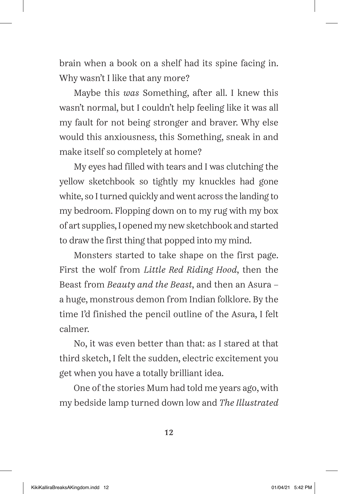brain when a book on a shelf had its spine facing in. Why wasn't I like that any more?

Maybe this *was* Something, after all. I knew this wasn't normal, but I couldn't help feeling like it was all my fault for not being stronger and braver. Why else would this anxiousness, this Something, sneak in and make itself so completely at home?

My eyes had filled with tears and I was clutching the yellow sketchbook so tightly my knuckles had gone white, so I turned quickly and went across the landing to my bedroom. Flopping down on to my rug with my box of art supplies, I opened my new sketchbook and started to draw the first thing that popped into my mind.

Monsters started to take shape on the first page. First the wolf from *Little Red Riding Hood*, then the Beast from *Beauty and the Beast*, and then an Asura – a huge, monstrous demon from Indian folklore. By the time I'd finished the pencil outline of the Asura, I felt calmer.

No, it was even better than that: as I stared at that third sketch, I felt the sudden, electric excitement you get when you have a totally brilliant idea.

One of the stories Mum had told me years ago, with my bedside lamp turned down low and *The Illustrated*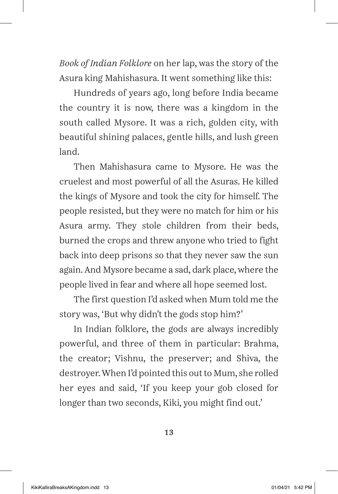*Book of Indian Folklore* on her lap, was the story of the Asura king Mahishasura. It went something like this:

Hundreds of years ago, long before India became the country it is now, there was a kingdom in the south called Mysore. It was a rich, golden city, with beautiful shining palaces, gentle hills, and lush green land.

Then Mahishasura came to Mysore. He was the cruelest and most powerful of all the Asuras. He killed the kings of Mysore and took the city for himself. The people resisted, but they were no match for him or his Asura army. They stole children from their beds, burned the crops and threw anyone who tried to fight back into deep prisons so that they never saw the sun again. And Mysore became a sad, dark place, where the people lived in fear and where all hope seemed lost.

The first question I'd asked when Mum told me the story was, 'But why didn't the gods stop him?'

In Indian folklore, the gods are always incredibly powerful, and three of them in particular: Brahma, the creator; Vishnu, the preserver; and Shiva, the destroyer. When I'd pointed this out to Mum, she rolled her eyes and said, 'If you keep your gob closed for longer than two seconds, Kiki, you might find out.'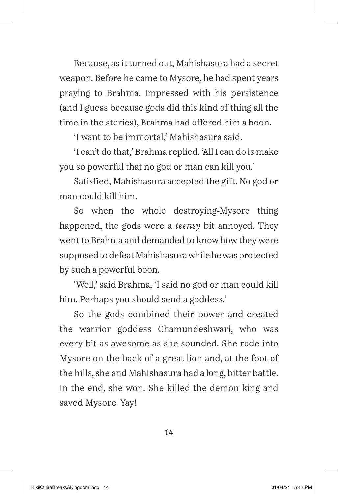Because, as it turned out, Mahishasura had a secret weapon. Before he came to Mysore, he had spent years praying to Brahma. Impressed with his persistence (and I guess because gods did this kind of thing all the time in the stories), Brahma had offered him a boon.

'I want to be immortal,' Mahishasura said.

'I can't do that,' Brahma replied. 'All I can do is make you so powerful that no god or man can kill you.'

Satisfied, Mahishasura accepted the gift. No god or man could kill him.

So when the whole destroying-Mysore thing happened, the gods were a *teensy* bit annoyed. They went to Brahma and demanded to know how they were supposed to defeat Mahishasura while he was protected by such a powerful boon.

'Well,' said Brahma, 'I said no god or man could kill him. Perhaps you should send a goddess.'

So the gods combined their power and created the warrior goddess Chamundeshwari, who was every bit as awesome as she sounded. She rode into Mysore on the back of a great lion and, at the foot of the hills, she and Mahishasura had a long, bitter battle. In the end, she won. She killed the demon king and saved Mysore. Yay!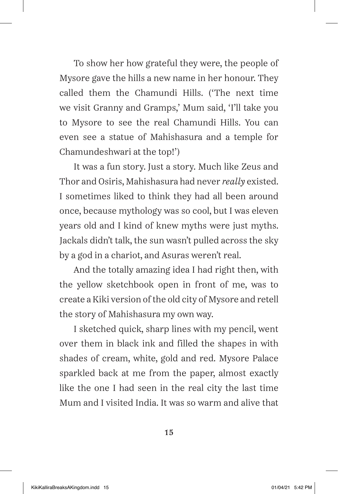To show her how grateful they were, the people of Mysore gave the hills a new name in her honour. They called them the Chamundi Hills. ('The next time we visit Granny and Gramps,' Mum said, 'I'll take you to Mysore to see the real Chamundi Hills. You can even see a statue of Mahishasura and a temple for Chamundeshwari at the top!')

It was a fun story. Just a story. Much like Zeus and Thor and Osiris, Mahishasura had never *really* existed. I sometimes liked to think they had all been around once, because mythology was so cool, but I was eleven years old and I kind of knew myths were just myths. Jackals didn't talk, the sun wasn't pulled across the sky by a god in a chariot, and Asuras weren't real.

And the totally amazing idea I had right then, with the yellow sketchbook open in front of me, was to create a Kiki version of the old city of Mysore and retell the story of Mahishasura my own way.

I sketched quick, sharp lines with my pencil, went over them in black ink and filled the shapes in with shades of cream, white, gold and red. Mysore Palace sparkled back at me from the paper, almost exactly like the one I had seen in the real city the last time Mum and I visited India. It was so warm and alive that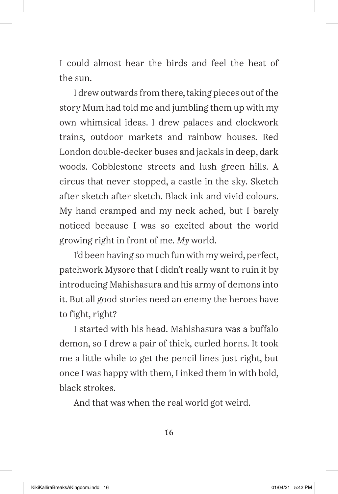I could almost hear the birds and feel the heat of the sun.

I drew outwards from there, taking pieces out of the story Mum had told me and jumbling them up with my own whimsical ideas. I drew palaces and clockwork trains, outdoor markets and rainbow houses. Red London double-decker buses and jackals in deep, dark woods. Cobblestone streets and lush green hills. A circus that never stopped, a castle in the sky. Sketch after sketch after sketch. Black ink and vivid colours. My hand cramped and my neck ached, but I barely noticed because I was so excited about the world growing right in front of me. *My* world.

I'd been having so much fun with my weird, perfect, patchwork Mysore that I didn't really want to ruin it by introducing Mahishasura and his army of demons into it. But all good stories need an enemy the heroes have to fight, right?

I started with his head. Mahishasura was a buffalo demon, so I drew a pair of thick, curled horns. It took me a little while to get the pencil lines just right, but once I was happy with them, I inked them in with bold, black strokes.

And that was when the real world got weird.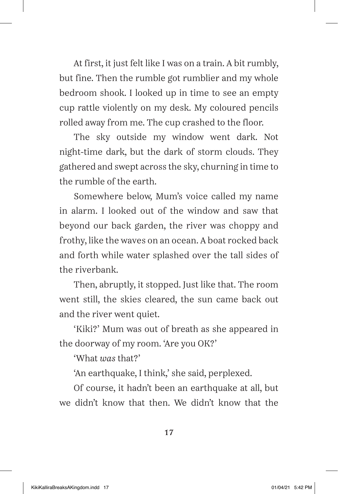At first, it just felt like I was on a train. A bit rumbly, but fine. Then the rumble got rumblier and my whole bedroom shook. I looked up in time to see an empty cup rattle violently on my desk. My coloured pencils rolled away from me. The cup crashed to the floor.

The sky outside my window went dark. Not night-time dark, but the dark of storm clouds. They gathered and swept across the sky, churning in time to the rumble of the earth.

Somewhere below, Mum's voice called my name in alarm. I looked out of the window and saw that beyond our back garden, the river was choppy and frothy, like the waves on an ocean. A boat rocked back and forth while water splashed over the tall sides of the riverbank.

Then, abruptly, it stopped. Just like that. The room went still, the skies cleared, the sun came back out and the river went quiet.

'Kiki?' Mum was out of breath as she appeared in the doorway of my room. 'Are you OK?'

'What *was* that?'

'An earthquake, I think,' she said, perplexed.

Of course, it hadn't been an earthquake at all, but we didn't know that then. We didn't know that the